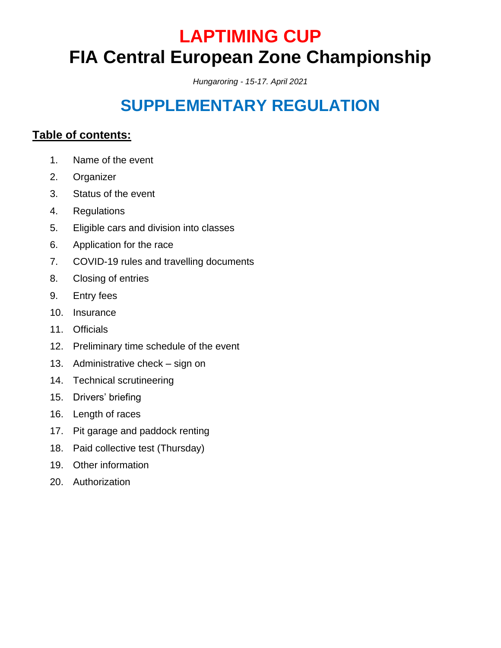# **LAPTIMING CUP FIA Central European Zone Championship**

*Hungaroring - 15-17. April 2021*

# **SUPPLEMENTARY REGULATION**

# **Table of contents:**

- 1. Name of the event
- 2. Organizer
- 3. Status of the event
- 4. Regulations
- 5. Eligible cars and division into classes
- 6. Application for the race
- 7. COVID-19 rules and travelling documents
- 8. Closing of entries
- 9. Entry fees
- 10. Insurance
- 11. Officials
- 12. Preliminary time schedule of the event
- 13. Administrative check sign on
- 14. Technical scrutineering
- 15. Drivers' briefing
- 16. Length of races
- 17. Pit garage and paddock renting
- 18. Paid collective test (Thursday)
- 19. Other information
- 20. Authorization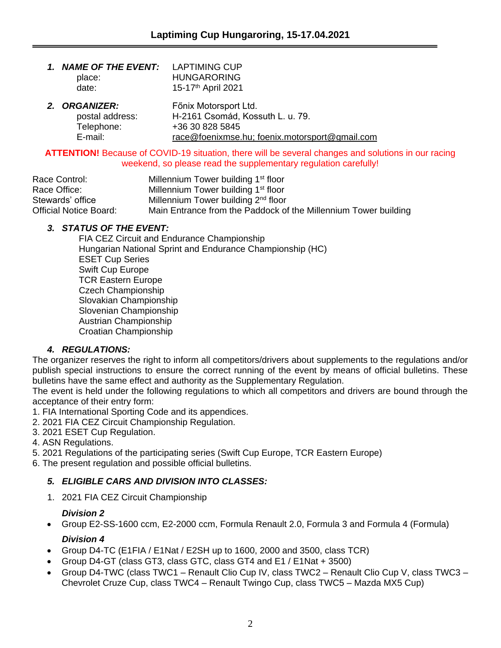| 1. NAME OF THE EVENT: LAPTIMING CUP<br>place:<br>date: | <b>HUNGARORING</b><br>15-17 <sup>th</sup> April 2021 |
|--------------------------------------------------------|------------------------------------------------------|
| 2 ADCANIZED.                                           | Eäniv Motoronort Ltd                                 |

*2. ORGANIZER:* Főnix Motorsport Ltd. postal address: H-2161 Csomád, Kossuth L. u. 79. Telephone: +36 30 828 5845 E-mail: [race@foenixmse.hu;](mailto:race@foenixmse.hu) foenix.motorsport@gmail.com

#### **ATTENTION!** Because of COVID-19 situation, there will be several changes and solutions in our racing weekend, so please read the supplementary regulation carefully!

| Race Control:          | Millennium Tower building 1 <sup>st</sup> floor                 |
|------------------------|-----------------------------------------------------------------|
| Race Office:           | Millennium Tower building 1 <sup>st</sup> floor                 |
| Stewards' office       | Millennium Tower building 2 <sup>nd</sup> floor                 |
| Official Notice Board: | Main Entrance from the Paddock of the Millennium Tower building |

# *3. STATUS OF THE EVENT:*

FIA CEZ Circuit and Endurance Championship Hungarian National Sprint and Endurance Championship (HC) ESET Cup Series Swift Cup Europe TCR Eastern Europe Czech Championship Slovakian Championship Slovenian Championship Austrian Championship Croatian Championship

# *4. REGULATIONS:*

The organizer reserves the right to inform all competitors/drivers about supplements to the regulations and/or publish special instructions to ensure the correct running of the event by means of official bulletins. These bulletins have the same effect and authority as the Supplementary Regulation.

The event is held under the following regulations to which all competitors and drivers are bound through the acceptance of their entry form:

- 1. FIA International Sporting Code and its appendices.
- 2. 2021 FIA CEZ Circuit Championship Regulation.
- 3. 2021 ESET Cup Regulation.

4. ASN Regulations.

5. 2021 Regulations of the participating series (Swift Cup Europe, TCR Eastern Europe)

6. The present regulation and possible official bulletins.

# *5. ELIGIBLE CARS AND DIVISION INTO CLASSES:*

1. 2021 FIA CEZ Circuit Championship

# *Division 2*

• Group E2-SS-1600 ccm, E2-2000 ccm, Formula Renault 2.0, Formula 3 and Formula 4 (Formula)

# *Division 4*

- Group D4-TC (E1FIA / E1Nat / E2SH up to 1600, 2000 and 3500, class TCR)
- Group D4-GT (class GT3, class GTC, class GT4 and E1 / E1Nat + 3500)
- Group D4-TWC (class TWC1 Renault Clio Cup IV, class TWC2 Renault Clio Cup V, class TWC3 Chevrolet Cruze Cup, class TWC4 – Renault Twingo Cup, class TWC5 – Mazda MX5 Cup)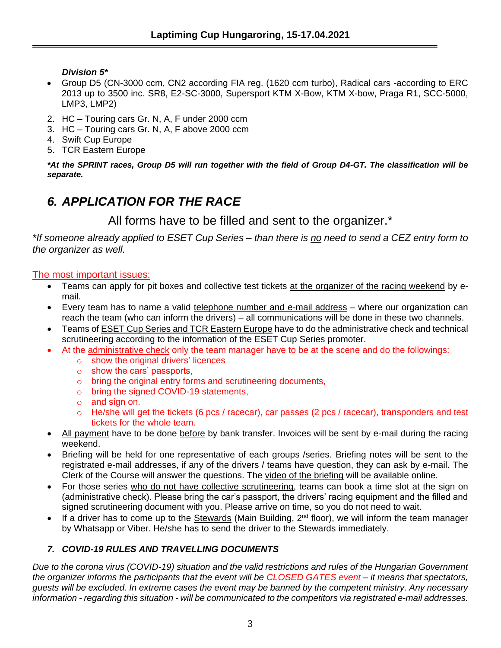*Division 5\**

- Group D5 (CN-3000 ccm, CN2 according FIA reg. (1620 ccm turbo), Radical cars -according to ERC 2013 up to 3500 inc. SR8, E2-SC-3000, Supersport KTM X-Bow, KTM X-bow, Praga R1, SCC-5000, LMP3, LMP2)
- 2. HC Touring cars Gr. N, A, F under 2000 ccm
- 3. HC Touring cars Gr. N, A, F above 2000 ccm
- 4. Swift Cup Europe
- 5. TCR Eastern Europe

*\*At the SPRINT races, Group D5 will run together with the field of Group D4-GT. The classification will be separate.*

# *6. APPLICATION FOR THE RACE*

All forms have to be filled and sent to the organizer.\*

*\*If someone already applied to ESET Cup Series – than there is no need to send a CEZ entry form to the organizer as well.*

The most important issues:

- Teams can apply for pit boxes and collective test tickets at the organizer of the racing weekend by email.
- Every team has to name a valid telephone number and e-mail address where our organization can reach the team (who can inform the drivers) – all communications will be done in these two channels.
- Teams of ESET Cup Series and TCR Eastern Europe have to do the administrative check and technical scrutineering according to the information of the ESET Cup Series promoter.
- At the administrative check only the team manager have to be at the scene and do the followings:
	- o show the original drivers' licences
	- o show the cars' passports,
	- o bring the original entry forms and scrutineering documents,
	- o bring the signed COVID-19 statements,
	- o and sign on.
	- $\circ$  He/she will get the tickets (6 pcs / racecar), car passes (2 pcs / racecar), transponders and test tickets for the whole team.
- All payment have to be done before by bank transfer. Invoices will be sent by e-mail during the racing weekend.
- Briefing will be held for one representative of each groups /series. Briefing notes will be sent to the registrated e-mail addresses, if any of the drivers / teams have question, they can ask by e-mail. The Clerk of the Course will answer the questions. The video of the briefing will be available online.
- For those series who do not have collective scrutineering, teams can book a time slot at the sign on (administrative check). Please bring the car's passport, the drivers' racing equipment and the filled and signed scrutineering document with you. Please arrive on time, so you do not need to wait.
- If a driver has to come up to the Stewards (Main Building,  $2^{nd}$  floor), we will inform the team manager by Whatsapp or Viber. He/she has to send the driver to the Stewards immediately.

# *7. COVID-19 RULES AND TRAVELLING DOCUMENTS*

*Due to the corona virus (COVID-19) situation and the valid restrictions and rules of the Hungarian Government the organizer informs the participants that the event will be CLOSED GATES event – it means that spectators, guests will be excluded. In extreme cases the event may be banned by the competent ministry. Any necessary information - regarding this situation - will be communicated to the competitors via registrated e-mail addresses.*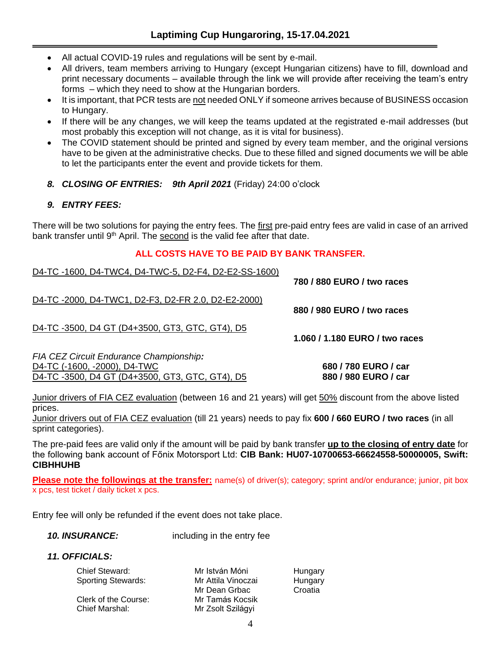- All actual COVID-19 rules and regulations will be sent by e-mail.
- All drivers, team members arriving to Hungary (except Hungarian citizens) have to fill, download and print necessary documents – available through the link we will provide after receiving the team's entry forms – which they need to show at the Hungarian borders.
- It is important, that PCR tests are not needed ONLY if someone arrives because of BUSINESS occasion to Hungary.
- If there will be any changes, we will keep the teams updated at the registrated e-mail addresses (but most probably this exception will not change, as it is vital for business).
- The COVID statement should be printed and signed by every team member, and the original versions have to be given at the administrative checks. Due to these filled and signed documents we will be able to let the participants enter the event and provide tickets for them.
- *8. CLOSING OF ENTRIES: 9th April 2021* (Friday) 24:00 o'clock

#### *9. ENTRY FEES:*

There will be two solutions for paying the entry fees. The first pre-paid entry fees are valid in case of an arrived bank transfer until 9<sup>th</sup> April. The second is the valid fee after that date.

#### **ALL COSTS HAVE TO BE PAID BY BANK TRANSFER.**

| D4-TC-1600, D4-TWC4, D4-TWC-5, D2-F4, D2-E2-SS-1600)                                                                      | 780 / 880 EURO / two races               |
|---------------------------------------------------------------------------------------------------------------------------|------------------------------------------|
| D4-TC-2000, D4-TWC1, D2-F3, D2-FR 2.0, D2-E2-2000)                                                                        | 880 / 980 EURO / two races               |
| D4-TC-3500, D4 GT (D4+3500, GT3, GTC, GT4), D5                                                                            | 1.060 / 1.180 EURO / two races           |
| FIA CEZ Circuit Endurance Championship:<br>D4-TC (-1600, -2000), D4-TWC<br>D4-TC-3500, D4 GT (D4+3500, GT3, GTC, GT4), D5 | 680 / 780 EURO / car<br>880/980 EURO/car |

Junior drivers of FIA CEZ evaluation (between 16 and 21 years) will get 50% discount from the above listed prices.

Junior drivers out of FIA CEZ evaluation (till 21 years) needs to pay fix **600 / 660 EURO / two races** (in all sprint categories).

The pre-paid fees are valid only if the amount will be paid by bank transfer **up to the closing of entry date** for the following bank account of Főnix Motorsport Ltd: **CIB Bank: HU07-10700653-66624558-50000005, Swift: CIBHHUHB**

**Please note the followings at the transfer:** name(s) of driver(s); category; sprint and/or endurance; junior, pit box x pcs, test ticket / daily ticket x pcs.

Entry fee will only be refunded if the event does not take place.

*10. INSURANCE:* including in the entry fee

#### *11. OFFICIALS:*

Chief Steward: Mr István Móni Hungary Sporting Stewards: Mr Attila Vinoczai Hungary

Chief Marshal: Mr Zsolt Szilágyi

Mr Dean Grbac Croatia Clerk of the Course: Mr Tamás Kocsik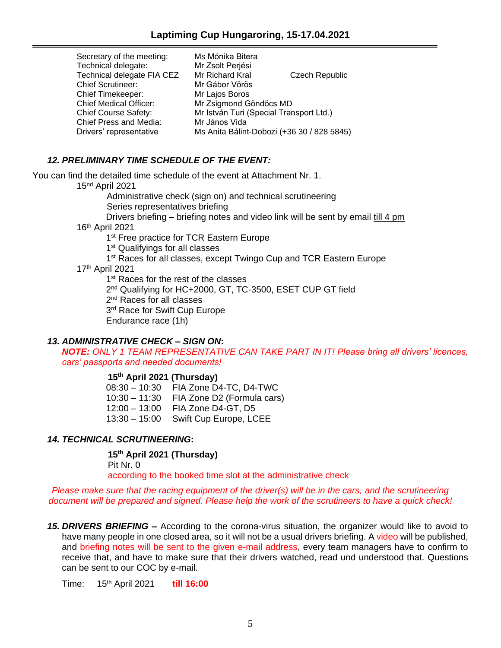| Secretary of the meeting:     | Ms Mónika Bitera                           |                |  |  |
|-------------------------------|--------------------------------------------|----------------|--|--|
| Technical delegate:           | Mr Zsolt Perjési                           |                |  |  |
| Technical delegate FIA CEZ    | Mr Richard Kral                            | Czech Republic |  |  |
| <b>Chief Scrutineer:</b>      | Mr Gábor Vörös                             |                |  |  |
| <b>Chief Timekeeper:</b>      | Mr Lajos Boros                             |                |  |  |
| <b>Chief Medical Officer:</b> | Mr Zsigmond Göndöcs MD                     |                |  |  |
| <b>Chief Course Safety:</b>   | Mr István Turi (Special Transport Ltd.)    |                |  |  |
| Chief Press and Media:        | Mr János Vida                              |                |  |  |
| Drivers' representative       | Ms Anita Bálint-Dobozi (+36 30 / 828 5845) |                |  |  |

#### *12. PRELIMINARY TIME SCHEDULE OF THE EVENT:*

You can find the detailed time schedule of the event at Attachment Nr. 1.

15nd April 2021

Administrative check (sign on) and technical scrutineering

Series representatives briefing

Drivers briefing – briefing notes and video link will be sent by email till 4 pm 16th April 2021

1<sup>st</sup> Free practice for TCR Eastern Europe

1<sup>st</sup> Qualifyings for all classes

- 1<sup>st</sup> Races for all classes, except Twingo Cup and TCR Eastern Europe
- 17th April 2021

1<sup>st</sup> Races for the rest of the classes

2<sup>nd</sup> Qualifying for HC+2000, GT, TC-3500, ESET CUP GT field

2<sup>nd</sup> Races for all classes

3<sup>rd</sup> Race for Swift Cup Europe

Endurance race (1h)

#### *13. ADMINISTRATIVE CHECK – SIGN ON***:**

*NOTE: ONLY 1 TEAM REPRESENTATIVE CAN TAKE PART IN IT! Please bring all drivers' licences, cars' passports and needed documents!*

#### **15th April 2021 (Thursday)**

08:30 – 10:30 FIA Zone D4-TC, D4-TWC 10:30 – 11:30 FIA Zone D2 (Formula cars) 12:00 – 13:00 FIA Zone D4-GT, D5 13:30 – 15:00 Swift Cup Europe, LCEE

#### *14. TECHNICAL SCRUTINEERING***:**

**15th April 2021 (Thursday)**

Pit Nr. 0

according to the booked time slot at the administrative check

*Please make sure that the racing equipment of the driver(s) will be in the cars, and the scrutineering document will be prepared and signed. Please help the work of the scrutineers to have a quick check!*

*15. DRIVERS BRIEFING –* According to the corona-virus situation, the organizer would like to avoid to have many people in one closed area, so it will not be a usual drivers briefing. A video will be published, and briefing notes will be sent to the given e-mail address, every team managers have to confirm to receive that, and have to make sure that their drivers watched, read und understood that. Questions can be sent to our COC by e-mail.

Time: 15th April 2021 **till 16:00**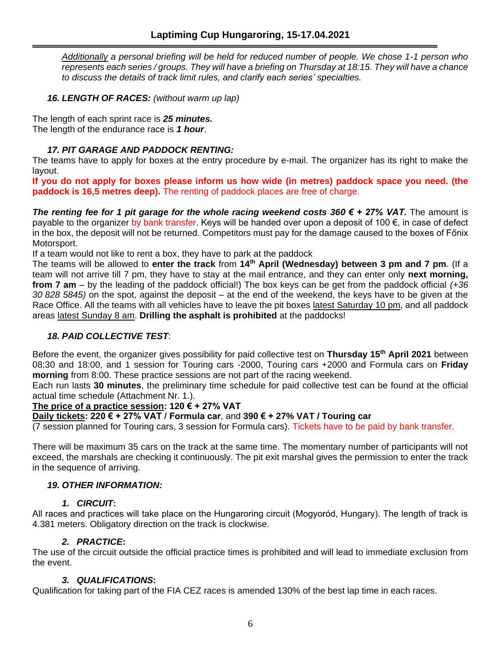*Additionally a personal briefing will be held for reduced number of people. We chose 1-1 person who represents each series / groups. They will have a briefing on Thursday at 18:15. They will have a chance to discuss the details of track limit rules, and clarify each series' specialties.*

*16. LENGTH OF RACES: (without warm up lap)*

The length of each sprint race is *25 minutes.* The length of the endurance race is *1 hour*.

### *17. PIT GARAGE AND PADDOCK RENTING:*

The teams have to apply for boxes at the entry procedure by e-mail. The organizer has its right to make the layout.

**If you do not apply for boxes please inform us how wide (in metres) paddock space you need. (the paddock is 16,5 metres deep).** The renting of paddock places are free of charge.

*The renting fee for 1 pit garage for the whole racing weekend costs 360 € + 27% VAT.* The amount is payable to the organizer by bank transfer. Keys will be handed over upon a deposit of 100 €, in case of defect in the box, the deposit will not be returned. Competitors must pay for the damage caused to the boxes of Főnix Motorsport.

If a team would not like to rent a box, they have to park at the paddock

The teams will be allowed to **enter the track** from **14th April (Wednesday) between 3 pm and 7 pm**. (If a team will not arrive till 7 pm, they have to stay at the mail entrance, and they can enter only **next morning, from 7 am** – by the leading of the paddock official!) The box keys can be get from the paddock official *(+36 30 828 5845)* on the spot, against the deposit – at the end of the weekend, the keys have to be given at the Race Office. All the teams with all vehicles have to leave the pit boxes latest Saturday 10 pm, and all paddock areas latest Sunday 8 am. **Drilling the asphalt is prohibited** at the paddocks!

#### *18. PAID COLLECTIVE TEST*:

Before the event, the organizer gives possibility for paid collective test on **Thursday 15th April 2021** between 08:30 and 18:00, and 1 session for Touring cars -2000, Touring cars +2000 and Formula cars on **Friday morning** from 8:00. These practice sessions are not part of the racing weekend.

Each run lasts **30 minutes**, the preliminary time schedule for paid collective test can be found at the official actual time schedule (Attachment Nr. 1.).

#### **The price of a practice session: 120 € + 27% VAT**

**Daily tickets: 220 € + 27% VAT / Formula car**, and **390 € + 27% VAT / Touring car**

(7 session planned for Touring cars, 3 session for Formula cars). Tickets have to be paid by bank transfer.

There will be maximum 35 cars on the track at the same time. The momentary number of participants will not exceed, the marshals are checking it continuously. The pit exit marshal gives the permission to enter the track in the sequence of arriving.

#### *19. OTHER INFORMATION:*

#### *1. CIRCUIT***:**

All races and practices will take place on the Hungaroring circuit (Mogyoród, Hungary). The length of track is 4.381 meters. Obligatory direction on the track is clockwise.

#### *2. PRACTICE***:**

The use of the circuit outside the official practice times is prohibited and will lead to immediate exclusion from the event.

#### *3. QUALIFICATIONS***:**

Qualification for taking part of the FIA CEZ races is amended 130% of the best lap time in each races.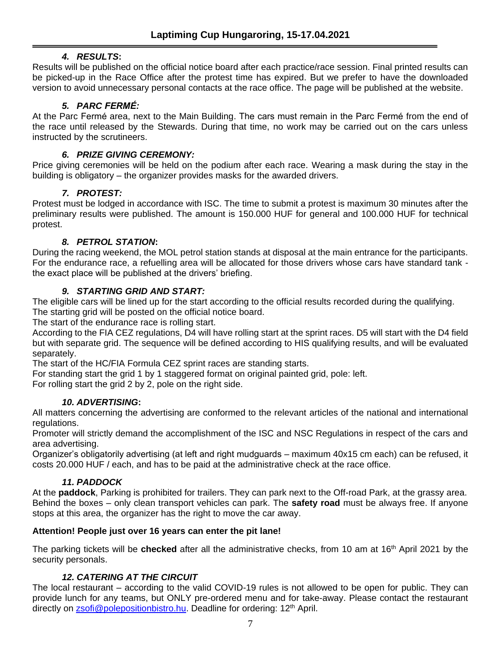# *4. RESULTS***:**

Results will be published on the official notice board after each practice/race session. Final printed results can be picked-up in the Race Office after the protest time has expired. But we prefer to have the downloaded version to avoid unnecessary personal contacts at the race office. The page will be published at the website.

# *5. PARC FERMÉ:*

At the Parc Fermé area, next to the Main Building. The cars must remain in the Parc Fermé from the end of the race until released by the Stewards. During that time, no work may be carried out on the cars unless instructed by the scrutineers.

# *6. PRIZE GIVING CEREMONY:*

Price giving ceremonies will be held on the podium after each race. Wearing a mask during the stay in the building is obligatory – the organizer provides masks for the awarded drivers.

# *7. PROTEST:*

Protest must be lodged in accordance with ISC. The time to submit a protest is maximum 30 minutes after the preliminary results were published. The amount is 150.000 HUF for general and 100.000 HUF for technical protest.

# *8. PETROL STATION***:**

During the racing weekend, the MOL petrol station stands at disposal at the main entrance for the participants. For the endurance race, a refuelling area will be allocated for those drivers whose cars have standard tank the exact place will be published at the drivers' briefing.

# *9. STARTING GRID AND START:*

The eligible cars will be lined up for the start according to the official results recorded during the qualifying. The starting grid will be posted on the official notice board.

The start of the endurance race is rolling start.

According to the FIA CEZ regulations, D4 will have rolling start at the sprint races. D5 will start with the D4 field but with separate grid. The sequence will be defined according to HIS qualifying results, and will be evaluated separately.

The start of the HC/FIA Formula CEZ sprint races are standing starts.

For standing start the grid 1 by 1 staggered format on original painted grid, pole: left.

For rolling start the grid 2 by 2, pole on the right side.

# *10. ADVERTISING***:**

All matters concerning the advertising are conformed to the relevant articles of the national and international regulations.

Promoter will strictly demand the accomplishment of the ISC and NSC Regulations in respect of the cars and area advertising.

Organizer's obligatorily advertising (at left and right mudguards – maximum 40x15 cm each) can be refused, it costs 20.000 HUF / each, and has to be paid at the administrative check at the race office.

# *11. PADDOCK*

At the **paddock**, Parking is prohibited for trailers. They can park next to the Off-road Park, at the grassy area. Behind the boxes – only clean transport vehicles can park. The **safety road** must be always free. If anyone stops at this area, the organizer has the right to move the car away.

# **Attention! People just over 16 years can enter the pit lane!**

The parking tickets will be **checked** after all the administrative checks, from 10 am at 16th April 2021 by the security personals.

# *12. CATERING AT THE CIRCUIT*

The local restaurant – according to the valid COVID-19 rules is not allowed to be open for public. They can provide lunch for any teams, but ONLY pre-ordered menu and for take-away. Please contact the restaurant directly on [zsofi@polepositionbistro.hu.](mailto:zsofi@polepositionbistro.hu) Deadline for ordering: 12<sup>th</sup> April.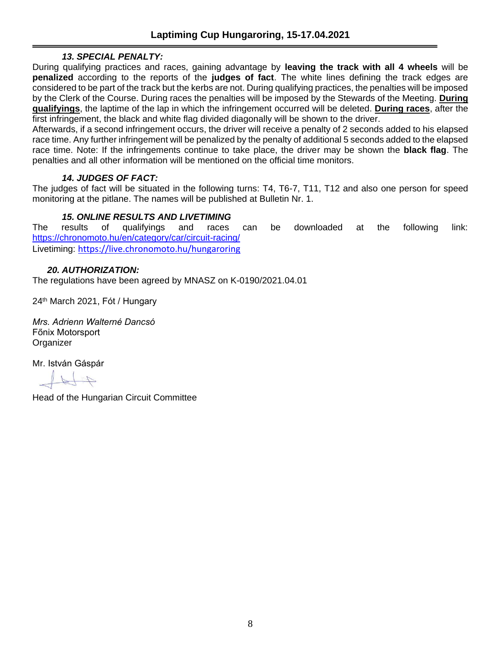# *13. SPECIAL PENALTY:*

During qualifying practices and races, gaining advantage by **leaving the track with all 4 wheels** will be **penalized** according to the reports of the **judges of fact**. The white lines defining the track edges are considered to be part of the track but the kerbs are not. During qualifying practices, the penalties will be imposed by the Clerk of the Course. During races the penalties will be imposed by the Stewards of the Meeting. **During qualifyings**, the laptime of the lap in which the infringement occurred will be deleted. **During races**, after the first infringement, the black and white flag divided diagonally will be shown to the driver.

Afterwards, if a second infringement occurs, the driver will receive a penalty of 2 seconds added to his elapsed race time. Any further infringement will be penalized by the penalty of additional 5 seconds added to the elapsed race time. Note: If the infringements continue to take place, the driver may be shown the **black flag**. The penalties and all other information will be mentioned on the official time monitors.

#### *14. JUDGES OF FACT:*

The judges of fact will be situated in the following turns: T4, T6-7, T11, T12 and also one person for speed monitoring at the pitlane. The names will be published at Bulletin Nr. 1.

#### *15. ONLINE RESULTS AND LIVETIMING*

The results of qualifyings and races can be downloaded at the following link: <https://chronomoto.hu/en/category/car/circuit-racing/> Livetiming: <https://live.chronomoto.hu/hungaroring>

#### *20. AUTHORIZATION:*

The regulations have been agreed by MNASZ on K-0190/2021.04.01

24<sup>th</sup> March 2021, Fót / Hungary

*Mrs. Adrienn Walterné Dancsó* Főnix Motorsport **Organizer** 

Mr. István Gáspár

Head of the Hungarian Circuit Committee